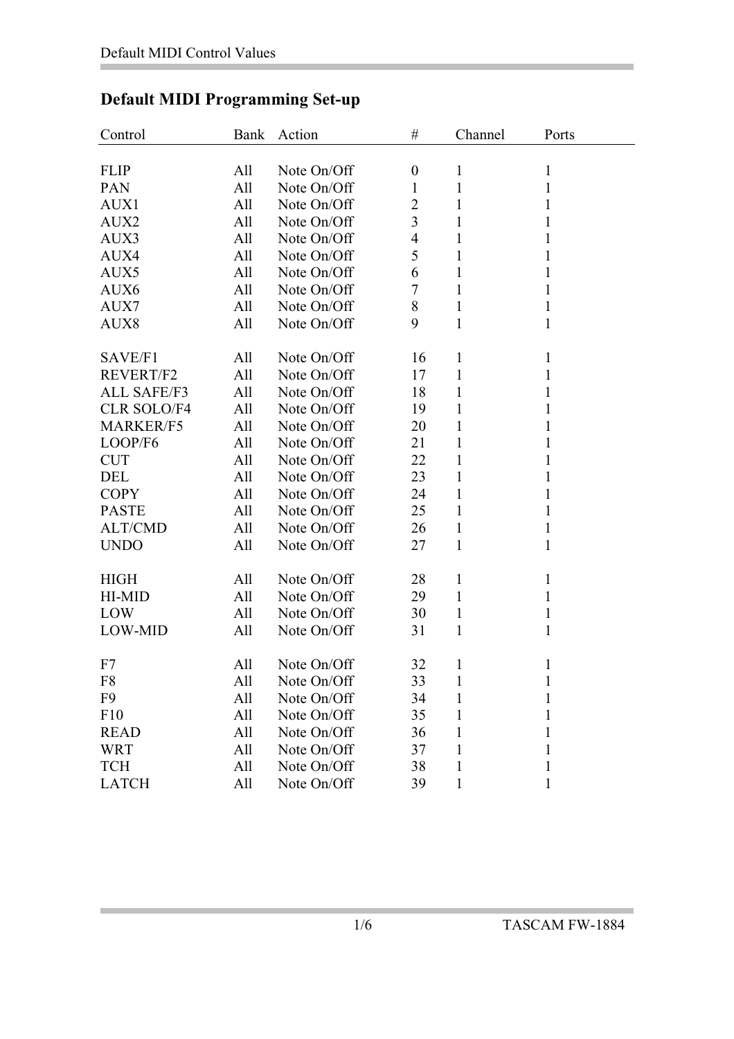| Control            | Bank | Action      | $\#$                     | Channel      | Ports        |  |
|--------------------|------|-------------|--------------------------|--------------|--------------|--|
|                    |      |             |                          |              |              |  |
| <b>FLIP</b>        | All  | Note On/Off | $\boldsymbol{0}$         | $\mathbf{1}$ | $\mathbf{1}$ |  |
| <b>PAN</b>         | All  | Note On/Off | 1                        | $\mathbf{1}$ | $\mathbf{1}$ |  |
| AUX1               | All  | Note On/Off | $\overline{2}$           | 1            | 1            |  |
| AUX2               | All  | Note On/Off | 3                        | 1            | 1            |  |
| AUX3               | All  | Note On/Off | $\overline{\mathcal{A}}$ | 1            | 1            |  |
| AUX4               | All  | Note On/Off | 5                        | 1            | 1            |  |
| AUX5               | All  | Note On/Off | 6                        | $\mathbf{1}$ | 1            |  |
| AUX6               | All  | Note On/Off | 7                        | 1            | 1            |  |
| AUX7               | All  | Note On/Off | 8                        | $\mathbf{1}$ | 1            |  |
| AUX8               | All  | Note On/Off | 9                        | $\mathbf{1}$ | $\mathbf{1}$ |  |
|                    |      |             |                          |              |              |  |
| SAVE/F1            | All  | Note On/Off | 16                       | 1            | 1            |  |
| <b>REVERT/F2</b>   | All  | Note On/Off | 17                       | 1            | 1            |  |
| <b>ALL SAFE/F3</b> | All  | Note On/Off | 18                       | 1            | 1            |  |
| <b>CLR SOLO/F4</b> | All  | Note On/Off | 19                       | $\mathbf{1}$ | $\mathbf{1}$ |  |
| <b>MARKER/F5</b>   | All  | Note On/Off | 20                       | 1            | 1            |  |
| LOOP/F6            | All  | Note On/Off | 21                       | $\mathbf{1}$ | 1            |  |
| <b>CUT</b>         | All  | Note On/Off | 22                       | $\mathbf{1}$ | 1            |  |
| DEL                | All  | Note On/Off | 23                       | $\mathbf{1}$ | 1            |  |
| <b>COPY</b>        | All  | Note On/Off | 24                       | $\mathbf{1}$ | 1            |  |
| <b>PASTE</b>       | All  | Note On/Off | 25                       | $\mathbf{1}$ | $\mathbf{1}$ |  |
| <b>ALT/CMD</b>     | All  | Note On/Off | 26                       | $\mathbf{1}$ | 1            |  |
| <b>UNDO</b>        | All  | Note On/Off | 27                       | 1            | 1            |  |
|                    |      |             |                          |              |              |  |
| <b>HIGH</b>        | All  | Note On/Off | 28                       | $\mathbf{1}$ | 1            |  |
| HI-MID             | All  | Note On/Off | 29                       | $\mathbf{1}$ | 1            |  |
| LOW                | All  | Note On/Off | 30                       | $\mathbf{1}$ | 1            |  |
| LOW-MID            | All  | Note On/Off | 31                       | 1            | 1            |  |
|                    |      |             |                          |              |              |  |
| F7                 | All  | Note On/Off | 32                       | 1            | 1            |  |
| F8                 | All  | Note On/Off | 33                       | $\mathbf{1}$ | $\mathbf{1}$ |  |
| F <sub>9</sub>     | All  | Note On/Off | 34                       | 1            | $\mathbf{1}$ |  |
| F10                | All  | Note On/Off | 35                       | 1            | $\mathbf{1}$ |  |
| <b>READ</b>        | All  | Note On/Off | 36                       | 1            | 1            |  |
| <b>WRT</b>         | All  | Note On/Off | 37                       | 1            | 1            |  |
| <b>TCH</b>         | All  | Note On/Off | 38                       | 1            | 1            |  |
| <b>LATCH</b>       | All  | Note On/Off | 39                       | $\mathbf{1}$ | 1            |  |

## **Default MIDI Programming Set-up**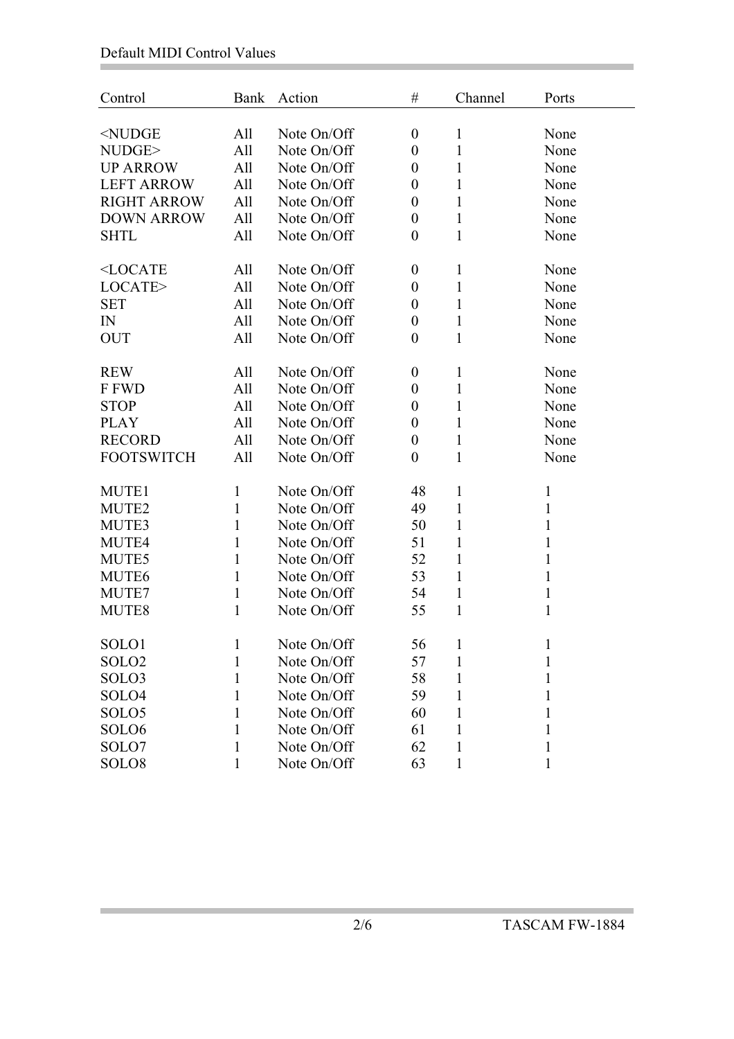Ì.

Ė

| Control                                                                                                                                    | Bank         | Action      | $\#$             | Channel      | Ports        |
|--------------------------------------------------------------------------------------------------------------------------------------------|--------------|-------------|------------------|--------------|--------------|
|                                                                                                                                            |              |             |                  |              |              |
| <nudge< td=""><td>All</td><td>Note On/Off</td><td><math>\boldsymbol{0}</math></td><td><math>\mathbf{1}</math></td><td>None</td></nudge<>   | All          | Note On/Off | $\boldsymbol{0}$ | $\mathbf{1}$ | None         |
| NUDGE>                                                                                                                                     | All          | Note On/Off | $\boldsymbol{0}$ | $\mathbf{1}$ | None         |
| <b>UP ARROW</b>                                                                                                                            | All          | Note On/Off | $\boldsymbol{0}$ | 1            | None         |
| <b>LEFT ARROW</b>                                                                                                                          | All          | Note On/Off | $\boldsymbol{0}$ | $\mathbf{1}$ | None         |
| <b>RIGHT ARROW</b>                                                                                                                         | All          | Note On/Off | $\boldsymbol{0}$ | 1            | None         |
| <b>DOWN ARROW</b>                                                                                                                          | All          | Note On/Off | $\boldsymbol{0}$ | $\mathbf{1}$ | None         |
| <b>SHTL</b>                                                                                                                                | All          | Note On/Off | $\boldsymbol{0}$ | 1            | None         |
| <locate< td=""><td>All</td><td>Note On/Off</td><td><math>\boldsymbol{0}</math></td><td><math>\mathbf{1}</math></td><td>None</td></locate<> | All          | Note On/Off | $\boldsymbol{0}$ | $\mathbf{1}$ | None         |
| LOCATE>                                                                                                                                    | All          | Note On/Off | $\boldsymbol{0}$ | 1            | None         |
| <b>SET</b>                                                                                                                                 | All          | Note On/Off | $\boldsymbol{0}$ | $\mathbf{1}$ | None         |
| IN                                                                                                                                         | All          | Note On/Off | $\boldsymbol{0}$ | 1            | None         |
| <b>OUT</b>                                                                                                                                 | All          | Note On/Off | $\boldsymbol{0}$ | 1            | None         |
| <b>REW</b>                                                                                                                                 | All          | Note On/Off | $\boldsymbol{0}$ | 1            | None         |
| F FWD                                                                                                                                      | All          | Note On/Off | $\boldsymbol{0}$ | $\mathbf{1}$ | None         |
|                                                                                                                                            |              | Note On/Off |                  |              |              |
| <b>STOP</b>                                                                                                                                | All          | Note On/Off | $\boldsymbol{0}$ | $\mathbf{1}$ | None         |
| <b>PLAY</b>                                                                                                                                | All          |             | $\boldsymbol{0}$ | 1            | None         |
| <b>RECORD</b>                                                                                                                              | All          | Note On/Off | $\boldsymbol{0}$ | $\mathbf{1}$ | None         |
| <b>FOOTSWITCH</b>                                                                                                                          | All          | Note On/Off | $\boldsymbol{0}$ | 1            | None         |
| MUTE1                                                                                                                                      | 1            | Note On/Off | 48               | 1            | $\mathbf{1}$ |
| MUTE2                                                                                                                                      | 1            | Note On/Off | 49               | 1            | 1            |
| MUTE3                                                                                                                                      | $\mathbf{1}$ | Note On/Off | 50               | $\mathbf{1}$ | $\mathbf{1}$ |
| MUTE4                                                                                                                                      | $\mathbf{1}$ | Note On/Off | 51               | 1            | $\mathbf{1}$ |
| MUTE5                                                                                                                                      | $\mathbf{1}$ | Note On/Off | 52               | $\mathbf{1}$ | 1            |
| MUTE <sub>6</sub>                                                                                                                          | $\mathbf{1}$ | Note On/Off | 53               | 1            | 1            |
| MUTE7                                                                                                                                      | 1            | Note On/Off | 54               | 1            | 1            |
| MUTE8                                                                                                                                      | $\mathbf{1}$ | Note On/Off | 55               | $\mathbf{1}$ | $\mathbf{1}$ |
| SOLO1                                                                                                                                      | 1            | Note On/Off | 56               | 1            | 1            |
| SOLO <sub>2</sub>                                                                                                                          | 1            | Note On/Off | 57               | 1            |              |
| SOLO3                                                                                                                                      |              | Note On/Off |                  |              |              |
| SOLO4                                                                                                                                      | 1            | Note On/Off | 58<br>59         |              |              |
|                                                                                                                                            | 1            |             |                  |              |              |
| SOLO <sub>5</sub>                                                                                                                          | 1            | Note On/Off | 60               |              |              |
| SOLO <sub>6</sub>                                                                                                                          | 1            | Note On/Off | 61               |              |              |
| SOLO7                                                                                                                                      | 1            | Note On/Off | 62               | 1            | 1            |
| SOLO <sub>8</sub>                                                                                                                          | 1            | Note On/Off | 63               |              |              |

i.

and the state of the state of the state of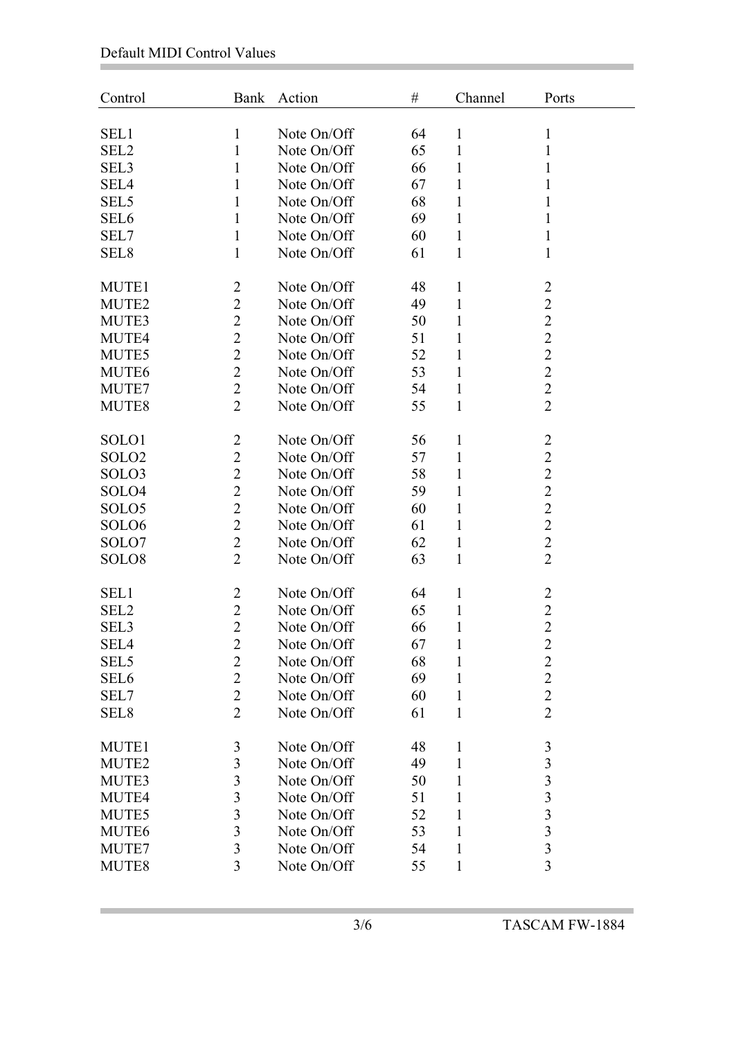Ì.

Ė

| Control           | Bank                    | Action      | $\#$ | Channel      | Ports                   |
|-------------------|-------------------------|-------------|------|--------------|-------------------------|
| SEL1              | 1                       | Note On/Off | 64   | 1            | 1                       |
| SEL <sub>2</sub>  | 1                       | Note On/Off | 65   | 1            | 1                       |
| SEL3              | 1                       | Note On/Off | 66   | 1            | 1                       |
|                   |                         |             |      |              |                         |
| SEL4              | 1                       | Note On/Off | 67   | 1            | 1                       |
| SEL <sub>5</sub>  | $\mathbf{1}$            | Note On/Off | 68   | $\mathbf{1}$ | 1                       |
| SEL <sub>6</sub>  | 1                       | Note On/Off | 69   | 1            | 1                       |
| SEL7              | 1                       | Note On/Off | 60   | 1            | $\mathbf{1}$            |
| SEL <sub>8</sub>  | $\mathbf{1}$            | Note On/Off | 61   | 1            | 1                       |
| MUTE1             | $\overline{2}$          | Note On/Off | 48   | $\mathbf{1}$ | $\overline{c}$          |
| MUTE <sub>2</sub> | $\overline{2}$          | Note On/Off | 49   | 1            | $\overline{c}$          |
| MUTE3             | $\overline{2}$          | Note On/Off | 50   | $\mathbf{1}$ | $\overline{c}$          |
| MUTE4             | $\overline{2}$          | Note On/Off | 51   | 1            | $\overline{c}$          |
| MUTE5             | $\overline{2}$          | Note On/Off | 52   | 1            | $\overline{c}$          |
| MUTE <sub>6</sub> | $\overline{2}$          | Note On/Off | 53   | 1            | $\overline{2}$          |
| MUTE7             | $\overline{2}$          | Note On/Off | 54   | $\mathbf{1}$ | $\overline{2}$          |
| MUTE8             | $\overline{2}$          | Note On/Off | 55   | $\mathbf{1}$ | $\overline{2}$          |
|                   |                         |             |      |              |                         |
| SOLO1             | $\overline{2}$          | Note On/Off | 56   | $\mathbf{1}$ | $\overline{c}$          |
| SOLO <sub>2</sub> | $\overline{2}$          | Note On/Off | 57   | 1            | $\overline{2}$          |
| SOLO3             | $\overline{2}$          | Note On/Off | 58   | 1            | $\overline{c}$          |
| SOLO4             | $\overline{2}$          | Note On/Off | 59   | 1            | $\overline{2}$          |
| SOLO <sub>5</sub> | $\overline{2}$          | Note On/Off | 60   | 1            | $\overline{2}$          |
| SOLO <sub>6</sub> | $\overline{2}$          | Note On/Off | 61   | $\mathbf{1}$ | $\overline{2}$          |
| SOLO7             | $\overline{2}$          | Note On/Off | 62   | $\mathbf{1}$ | $\overline{c}$          |
| SOLO <sub>8</sub> | $\overline{2}$          | Note On/Off | 63   | 1            | $\overline{2}$          |
|                   |                         |             |      |              |                         |
| SEL1              | $\overline{c}$          | Note On/Off | 64   | $\mathbf{1}$ | 2                       |
| SEL <sub>2</sub>  | $\overline{2}$          | Note On/Off | 65   | 1            | $\overline{c}$          |
| SEL <sub>3</sub>  | $\overline{2}$          | Note On/Off | 66   | 1            | $\overline{2}$          |
| SEL <sub>4</sub>  | $\overline{2}$          | Note On/Off | 67   | $\mathbf{1}$ | $\overline{2}$          |
| SEL <sub>5</sub>  | $\overline{2}$          | Note On/Off | 68   | $\mathbf{1}$ | $\overline{2}$          |
| SEL <sub>6</sub>  | $\overline{2}$          | Note On/Off | 69   | $\mathbf{1}$ | $\overline{2}$          |
| SEL7              | $\overline{2}$          | Note On/Off | 60   | 1            | $\overline{c}$          |
| SEL <sub>8</sub>  | $\overline{2}$          | Note On/Off | 61   | $\mathbf{1}$ | $\overline{2}$          |
|                   |                         |             |      |              |                         |
| MUTE1             | 3                       | Note On/Off | 48   | $\mathbf{1}$ | 3                       |
| MUTE <sub>2</sub> | $\overline{3}$          | Note On/Off | 49   | $\mathbf{1}$ | $\overline{\mathbf{3}}$ |
| MUTE3             | $\mathfrak{Z}$          | Note On/Off | 50   | $\mathbf{1}$ | 3                       |
| MUTE4             | $\overline{\mathbf{3}}$ | Note On/Off | 51   | $\mathbf{1}$ | $\overline{\mathbf{3}}$ |
| MUTE5             | 3                       | Note On/Off | 52   | $\mathbf{1}$ | $\overline{3}$          |
| MUTE <sub>6</sub> | $\overline{3}$          | Note On/Off | 53   | 1            | 3                       |
| MUTE7             | $\overline{3}$          | Note On/Off | 54   | $\mathbf{1}$ | $\overline{\mathbf{3}}$ |
| MUTE8             | 3                       | Note On/Off | 55   | $\mathbf{1}$ | 3                       |
|                   |                         |             |      |              |                         |

i.

and the control of the control of the control of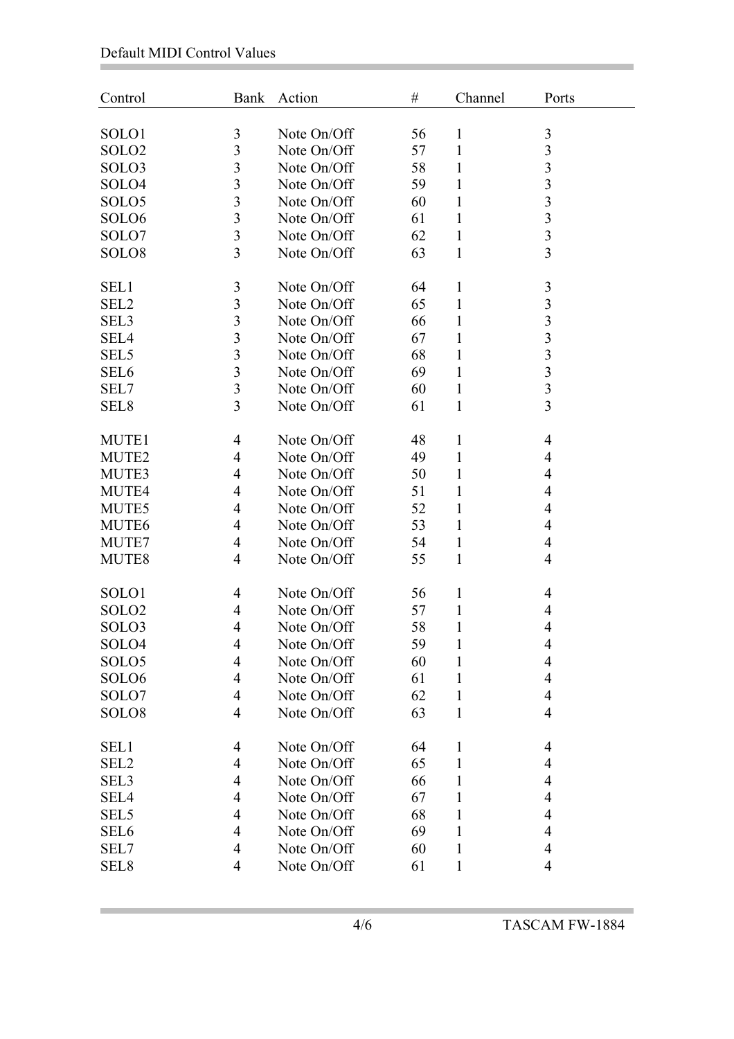Ì.

Ė

| Control           | <b>Bank</b>                      | Action      | $\#$ | Channel      | Ports                                     |
|-------------------|----------------------------------|-------------|------|--------------|-------------------------------------------|
| SOLO1             | $\mathfrak{Z}$                   | Note On/Off | 56   | $\mathbf{1}$ |                                           |
| SOLO <sub>2</sub> | 3                                | Note On/Off | 57   | 1            | 3<br>$\mathfrak{Z}$                       |
| SOLO3             | 3                                | Note On/Off | 58   | $\mathbf{1}$ | $\mathfrak{Z}$                            |
|                   | $\overline{3}$                   |             |      |              | $\overline{3}$                            |
| SOLO4             | 3                                | Note On/Off | 59   | $\mathbf{1}$ |                                           |
| SOLO <sub>5</sub> |                                  | Note On/Off | 60   | 1            | 3                                         |
| SOLO <sub>6</sub> | $\overline{3}$                   | Note On/Off | 61   | $\mathbf{1}$ | $\overline{\mathbf{3}}$                   |
| SOLO7             | $\overline{3}$<br>$\overline{3}$ | Note On/Off | 62   | $\mathbf{1}$ | $\overline{\mathbf{3}}$<br>$\overline{3}$ |
| SOLO <sub>8</sub> |                                  | Note On/Off | 63   | $\mathbf{1}$ |                                           |
| SEL1              | 3                                | Note On/Off | 64   | $\mathbf{1}$ | $\mathfrak{Z}$                            |
| SEL <sub>2</sub>  | $\overline{3}$                   | Note On/Off | 65   | $\mathbf{1}$ | $\overline{3}$                            |
| SEL <sub>3</sub>  | 3                                | Note On/Off | 66   | $\mathbf{1}$ | 3                                         |
| SEL4              | $\overline{3}$                   | Note On/Off | 67   | 1            | $\overline{\mathbf{3}}$                   |
| SEL <sub>5</sub>  | $\overline{3}$                   | Note On/Off | 68   | 1            | $\overline{3}$                            |
| SEL <sub>6</sub>  | 3                                | Note On/Off | 69   | 1            | 3                                         |
| SEL7              | $\overline{\mathbf{3}}$          | Note On/Off | 60   | $\mathbf{1}$ | $\overline{\mathbf{3}}$                   |
| SEL <sub>8</sub>  | $\overline{3}$                   | Note On/Off | 61   | $\mathbf{1}$ | $\overline{3}$                            |
|                   |                                  |             |      |              |                                           |
| MUTE1             | 4                                | Note On/Off | 48   | $\mathbf{1}$ | $\overline{\mathcal{A}}$                  |
| MUTE2             | $\overline{4}$                   | Note On/Off | 49   | 1            | 4                                         |
| MUTE3             | 4                                | Note On/Off | 50   | 1            | 4                                         |
| MUTE4             | 4                                | Note On/Off | 51   | 1            | 4                                         |
| MUTE5             | 4                                | Note On/Off | 52   | 1            | 4                                         |
| MUTE <sub>6</sub> | $\overline{4}$                   | Note On/Off | 53   | $\mathbf{1}$ | 4                                         |
| MUTE7             | 4                                | Note On/Off | 54   | $\mathbf{1}$ | 4                                         |
| MUTE8             | $\overline{4}$                   | Note On/Off | 55   | $\mathbf{1}$ | 4                                         |
|                   |                                  |             |      |              |                                           |
| SOLO1             | 4                                | Note On/Off | 56   | $\mathbf{1}$ | 4                                         |
| SOLO <sub>2</sub> | 4                                | Note On/Off | 57   | 1            | $\overline{4}$                            |
| SOLO3             | $\overline{4}$                   | Note On/Off | 58   | 1            | $\overline{4}$                            |
| SOLO4             | 4                                | Note On/Off | 59   | $\mathbf{1}$ | 4                                         |
| SOLO <sub>5</sub> | 4                                | Note On/Off | 60   | $\mathbf{1}$ | 4                                         |
| SOLO <sub>6</sub> | $\overline{\mathcal{A}}$         | Note On/Off | 61   | 1            | $\overline{\mathcal{A}}$                  |
| SOLO7             | $\overline{4}$                   | Note On/Off | 62   | $\mathbf{1}$ | $\overline{4}$                            |
| SOLO <sub>8</sub> | $\overline{4}$                   | Note On/Off | 63   | $\mathbf{1}$ | $\overline{4}$                            |
| SEL1              | 4                                | Note On/Off | 64   | $\mathbf{1}$ | 4                                         |
| SEL <sub>2</sub>  | 4                                | Note On/Off | 65   | $\mathbf{1}$ | 4                                         |
| SEL3              | 4                                | Note On/Off | 66   | $\mathbf{1}$ | 4                                         |
| SEL <sub>4</sub>  | $\overline{\mathcal{A}}$         | Note On/Off | 67   | 1            | $\overline{\mathcal{A}}$                  |
| SEL <sub>5</sub>  | 4                                | Note On/Off | 68   | 1            | 4                                         |
| SEL <sub>6</sub>  | $\overline{4}$                   | Note On/Off | 69   | $\mathbf{1}$ | $\overline{4}$                            |
|                   | $\overline{\mathcal{A}}$         | Note On/Off |      |              | $\overline{\mathcal{A}}$                  |
| SEL7              |                                  |             | 60   | 1            | $\overline{4}$                            |
| SEL <sub>8</sub>  | 4                                | Note On/Off | 61   | $\mathbf{1}$ |                                           |

i.

and the state of the state of the state of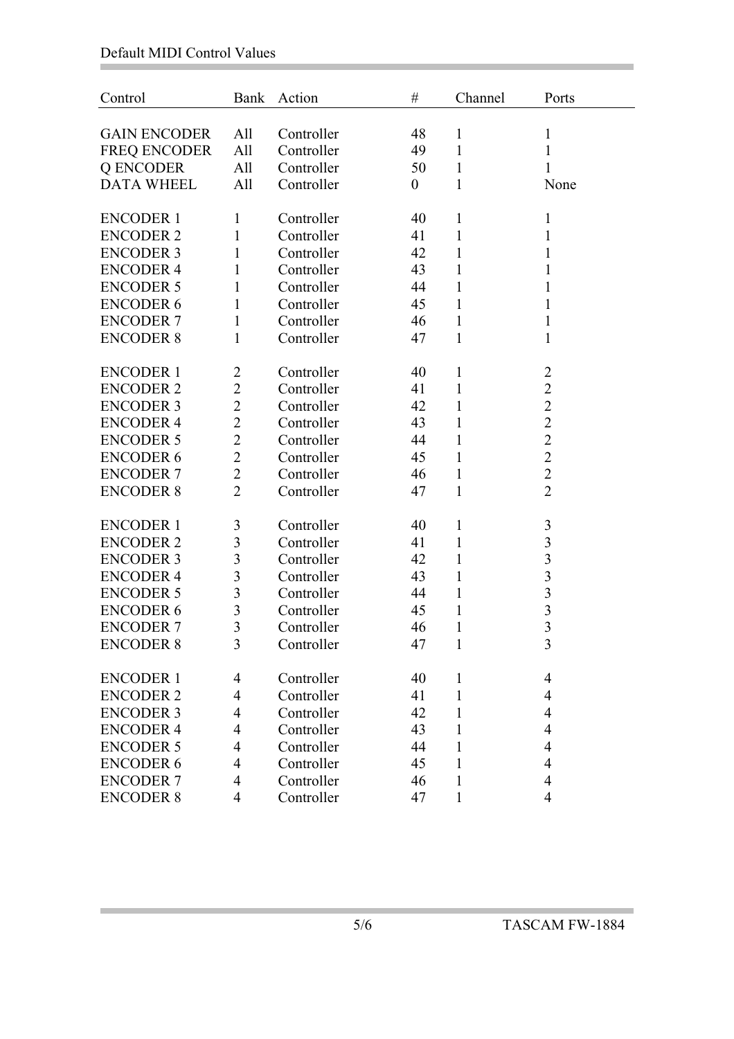## Default MIDI Control Values

Ì.

Ė

| Control             | Bank                     | Action     | $\#$             | Channel      | Ports                   |
|---------------------|--------------------------|------------|------------------|--------------|-------------------------|
| <b>GAIN ENCODER</b> | All                      | Controller | 48               | $\mathbf{1}$ | $\mathbf{1}$            |
| FREQ ENCODER        | All                      | Controller | 49               | $\mathbf{1}$ | 1                       |
| Q ENCODER           | All                      | Controller | 50               | 1            | 1                       |
| <b>DATA WHEEL</b>   | All                      | Controller | $\boldsymbol{0}$ | $\mathbf{1}$ | None                    |
|                     |                          |            |                  |              |                         |
| <b>ENCODER 1</b>    | $\mathbf{1}$             | Controller | 40               | $\mathbf{1}$ | $\mathbf{1}$            |
| <b>ENCODER 2</b>    | $\mathbf{1}$             | Controller | 41               | $\mathbf{1}$ | 1                       |
| <b>ENCODER 3</b>    | 1                        | Controller | 42               | $\mathbf{1}$ | 1                       |
| <b>ENCODER 4</b>    | 1                        | Controller | 43               | 1            | 1                       |
| <b>ENCODER 5</b>    | $\mathbf{1}$             | Controller | 44               | $\mathbf{1}$ | 1                       |
| <b>ENCODER 6</b>    | $\mathbf{1}$             | Controller | 45               | 1            | 1                       |
| <b>ENCODER 7</b>    | 1                        | Controller | 46               | $\mathbf{1}$ | 1                       |
| <b>ENCODER 8</b>    | $\mathbf{1}$             | Controller | 47               | $\mathbf{1}$ | 1                       |
|                     |                          |            |                  |              |                         |
| <b>ENCODER 1</b>    | $\overline{2}$           | Controller | 40               | $\mathbf{1}$ | $\overline{2}$          |
| <b>ENCODER 2</b>    | $\mathbf{2}$             | Controller | 41               | 1            | $\overline{2}$          |
| <b>ENCODER 3</b>    | $\overline{2}$           | Controller | 42               | $\mathbf{1}$ | $\overline{2}$          |
| <b>ENCODER 4</b>    | $\overline{2}$           | Controller | 43               | $\mathbf{1}$ | $\overline{c}$          |
| <b>ENCODER 5</b>    | $\overline{2}$           | Controller | 44               | $\mathbf{1}$ | $\overline{2}$          |
| <b>ENCODER 6</b>    | $\overline{2}$           | Controller | 45               | $\mathbf{1}$ | $\overline{2}$          |
| <b>ENCODER 7</b>    | $\overline{2}$           | Controller | 46               | $\mathbf{1}$ | $\overline{2}$          |
| <b>ENCODER 8</b>    | $\overline{2}$           | Controller | 47               | $\mathbf{1}$ | $\overline{2}$          |
|                     |                          |            |                  |              |                         |
| <b>ENCODER 1</b>    | 3                        | Controller | 40               | 1            | $\mathfrak{Z}$          |
| <b>ENCODER 2</b>    | $\overline{3}$           | Controller | 41               | $\mathbf{1}$ | 3                       |
| <b>ENCODER 3</b>    | $\overline{3}$           | Controller | 42               | 1            | 3                       |
| <b>ENCODER 4</b>    | $\overline{3}$           | Controller | 43               | $\mathbf{1}$ | 3                       |
| <b>ENCODER 5</b>    | $\overline{3}$           | Controller | 44               | $\mathbf{1}$ | $\overline{\mathbf{3}}$ |
| <b>ENCODER 6</b>    | 3                        | Controller | 45               | $\mathbf{1}$ | 3                       |
| <b>ENCODER 7</b>    | 3                        | Controller | 46               | $\mathbf{1}$ | 3                       |
| <b>ENCODER 8</b>    | $\overline{3}$           | Controller | 47               | $\mathbf{1}$ | 3                       |
|                     |                          |            |                  |              |                         |
| <b>ENCODER 1</b>    | $\overline{\mathcal{A}}$ | Controller | 40               | 1            | 4                       |
| <b>ENCODER 2</b>    | $\overline{\mathcal{A}}$ | Controller | 41               | 1            | 4                       |
| <b>ENCODER 3</b>    | $\overline{4}$           | Controller | 42               | 1            | 4                       |
| <b>ENCODER 4</b>    | $\overline{4}$           | Controller | 43               | 1            | 4                       |
| <b>ENCODER 5</b>    | $\overline{\mathcal{A}}$ | Controller | 44               | 1            | 4                       |
| <b>ENCODER 6</b>    | $\overline{4}$           | Controller | 45               | 1            | 4                       |
| <b>ENCODER 7</b>    | $\overline{4}$           | Controller | 46               | 1            | 4                       |
| <b>ENCODER 8</b>    | 4                        | Controller | 47               | $\mathbf{1}$ | $\overline{4}$          |

i.

and the state of the state of the state of